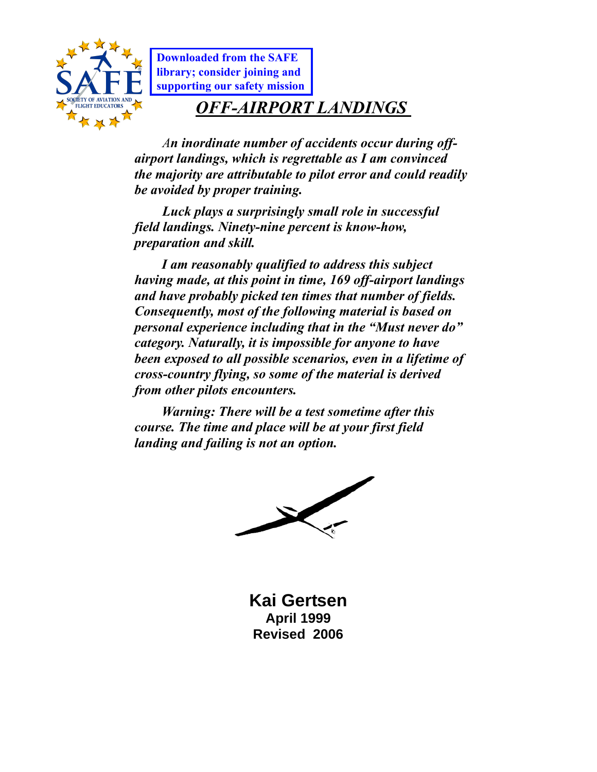

**Downloaded from the SAFE library; consider joining and [supporting our safety mission](http://safepilots.org/Join-SAFE)**

# *OFF-AIRPORT LANDINGS*

*An inordinate number of accidents occur during offairport landings, which is regrettable as I am convinced the majority are attributable to pilot error and could readily be avoided by proper training.* 

*Luck plays a surprisingly small role in successful field landings. Ninety-nine percent is know-how, preparation and skill.* 

*I am reasonably qualified to address this subject having made, at this point in time, 169 off-airport landings and have probably picked ten times that number of fields. Consequently, most of the following material is based on personal experience including that in the "Must never do" category. Naturally, it is impossible for anyone to have been exposed to all possible scenarios, even in a lifetime of cross-country flying, so some of the material is derived from other pilots encounters.* 

*Warning: There will be a test sometime after this course. The time and place will be at your first field landing and failing is not an option.* 



**Kai Gertsen April 1999 Revised 2006**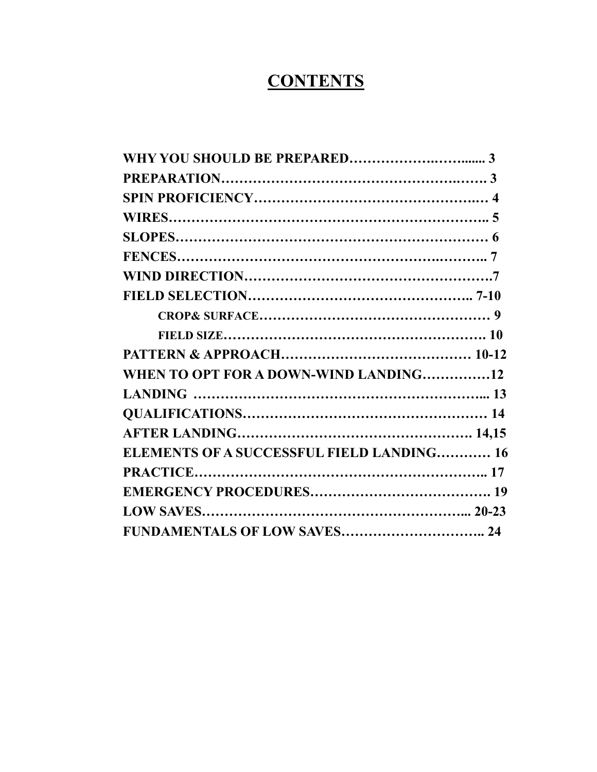# **CONTENTS**

| WHEN TO OPT FOR A DOWN-WIND LANDING12            |  |
|--------------------------------------------------|--|
|                                                  |  |
|                                                  |  |
|                                                  |  |
| <b>ELEMENTS OF A SUCCESSFUL FIELD LANDING 16</b> |  |
|                                                  |  |
|                                                  |  |
|                                                  |  |
|                                                  |  |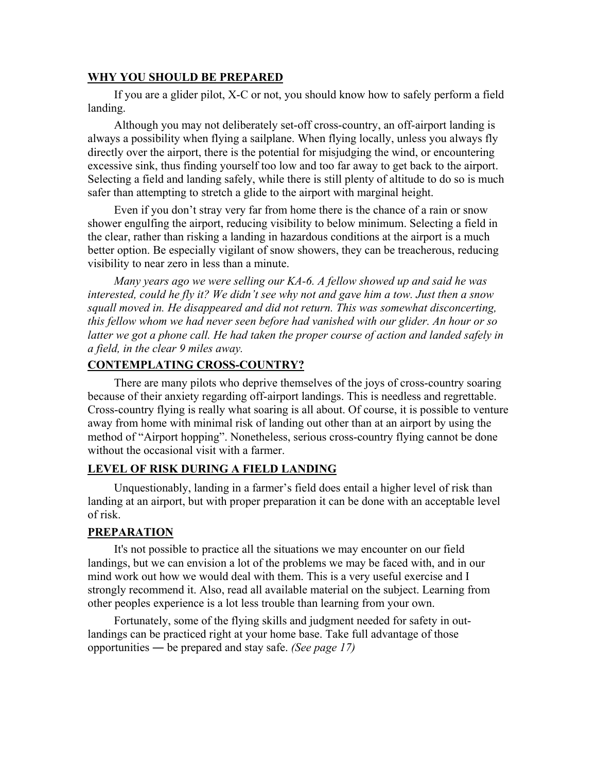#### **WHY YOU SHOULD BE PREPARED**

If you are a glider pilot, X-C or not, you should know how to safely perform a field landing.

Although you may not deliberately set-off cross-country, an off-airport landing is always a possibility when flying a sailplane. When flying locally, unless you always fly directly over the airport, there is the potential for misjudging the wind, or encountering excessive sink, thus finding yourself too low and too far away to get back to the airport. Selecting a field and landing safely, while there is still plenty of altitude to do so is much safer than attempting to stretch a glide to the airport with marginal height.

Even if you don't stray very far from home there is the chance of a rain or snow shower engulfing the airport, reducing visibility to below minimum. Selecting a field in the clear, rather than risking a landing in hazardous conditions at the airport is a much better option. Be especially vigilant of snow showers, they can be treacherous, reducing visibility to near zero in less than a minute.

*Many years ago we were selling our KA-6. A fellow showed up and said he was interested, could he fly it? We didn't see why not and gave him a tow. Just then a snow squall moved in. He disappeared and did not return. This was somewhat disconcerting, this fellow whom we had never seen before had vanished with our glider. An hour or so*  latter we got a phone call. He had taken the proper course of action and landed safely in *a field, in the clear 9 miles away.* 

#### **CONTEMPLATING CROSS-COUNTRY?**

There are many pilots who deprive themselves of the joys of cross-country soaring because of their anxiety regarding off-airport landings. This is needless and regrettable. Cross-country flying is really what soaring is all about. Of course, it is possible to venture away from home with minimal risk of landing out other than at an airport by using the method of "Airport hopping". Nonetheless, serious cross-country flying cannot be done without the occasional visit with a farmer.

#### **LEVEL OF RISK DURING A FIELD LANDING**

Unquestionably, landing in a farmer's field does entail a higher level of risk than landing at an airport, but with proper preparation it can be done with an acceptable level of risk.

#### **PREPARATION**

It's not possible to practice all the situations we may encounter on our field landings, but we can envision a lot of the problems we may be faced with, and in our mind work out how we would deal with them. This is a very useful exercise and I strongly recommend it. Also, read all available material on the subject. Learning from other peoples experience is a lot less trouble than learning from your own.

Fortunately, some of the flying skills and judgment needed for safety in outlandings can be practiced right at your home base. Take full advantage of those opportunities ― be prepared and stay safe. *(See page 17)*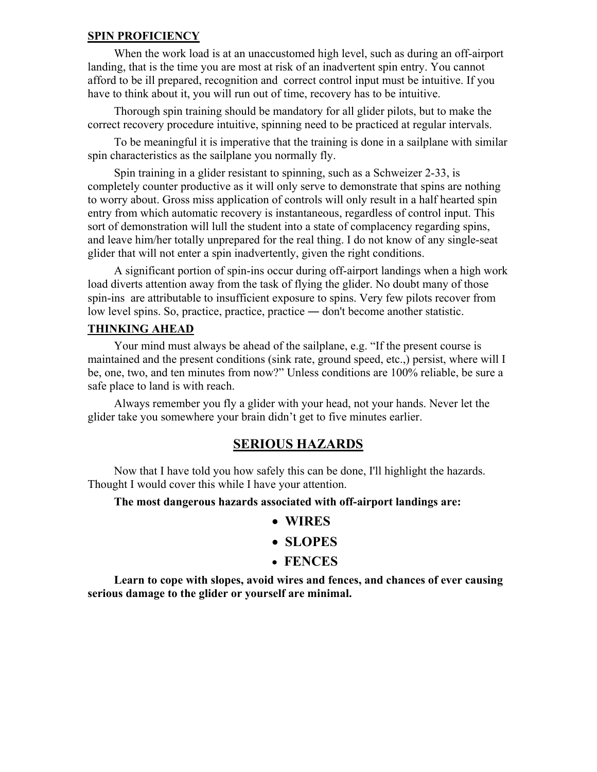#### **SPIN PROFICIENCY**

When the work load is at an unaccustomed high level, such as during an off-airport landing, that is the time you are most at risk of an inadvertent spin entry. You cannot afford to be ill prepared, recognition and correct control input must be intuitive. If you have to think about it, you will run out of time, recovery has to be intuitive.

Thorough spin training should be mandatory for all glider pilots, but to make the correct recovery procedure intuitive, spinning need to be practiced at regular intervals.

To be meaningful it is imperative that the training is done in a sailplane with similar spin characteristics as the sailplane you normally fly.

Spin training in a glider resistant to spinning, such as a Schweizer 2-33, is completely counter productive as it will only serve to demonstrate that spins are nothing to worry about. Gross miss application of controls will only result in a half hearted spin entry from which automatic recovery is instantaneous, regardless of control input. This sort of demonstration will lull the student into a state of complacency regarding spins, and leave him/her totally unprepared for the real thing. I do not know of any single-seat glider that will not enter a spin inadvertently, given the right conditions.

A significant portion of spin-ins occur during off-airport landings when a high work load diverts attention away from the task of flying the glider. No doubt many of those spin-ins are attributable to insufficient exposure to spins. Very few pilots recover from low level spins. So, practice, practice, practice ― don't become another statistic.

#### **THINKING AHEAD**

Your mind must always be ahead of the sailplane, e.g. "If the present course is maintained and the present conditions (sink rate, ground speed, etc.,) persist, where will I be, one, two, and ten minutes from now?" Unless conditions are 100% reliable, be sure a safe place to land is with reach.

Always remember you fly a glider with your head, not your hands. Never let the glider take you somewhere your brain didn't get to five minutes earlier.

#### **SERIOUS HAZARDS**

Now that I have told you how safely this can be done, I'll highlight the hazards. Thought I would cover this while I have your attention.

#### **The most dangerous hazards associated with off-airport landings are:**

- **WIRES**
- **SLOPES**
- • **FENCES**

**Learn to cope with slopes, avoid wires and fences, and chances of ever causing serious damage to the glider or yourself are minimal.**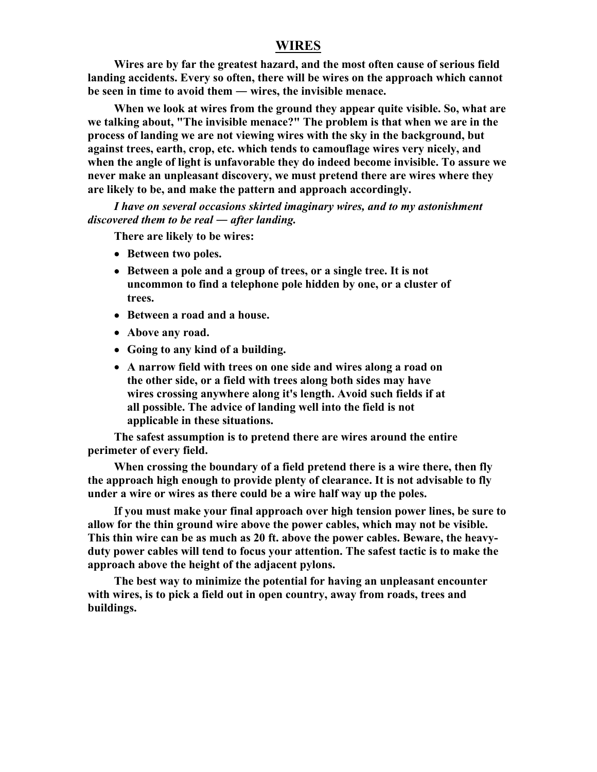#### **WIRES**

**Wires are by far the greatest hazard, and the most often cause of serious field landing accidents. Every so often, there will be wires on the approach which cannot be seen in time to avoid them ― wires, the invisible menace.** 

**When we look at wires from the ground they appear quite visible. So, what are we talking about, "The invisible menace?" The problem is that when we are in the process of landing we are not viewing wires with the sky in the background, but against trees, earth, crop, etc. which tends to camouflage wires very nicely, and when the angle of light is unfavorable they do indeed become invisible. To assure we never make an unpleasant discovery, we must pretend there are wires where they are likely to be, and make the pattern and approach accordingly.** 

*I have on several occasions skirted imaginary wires, and to my astonishment discovered them to be real ― after landing.* 

**There are likely to be wires:** 

- **Between two poles.**
- **Between a pole and a group of trees, or a single tree. It is not uncommon to find a telephone pole hidden by one, or a cluster of trees.**
- **Between a road and a house.**
- **Above any road.**
- **Going to any kind of a building.**
- **A narrow field with trees on one side and wires along a road on the other side, or a field with trees along both sides may have wires crossing anywhere along it's length. Avoid such fields if at all possible. The advice of landing well into the field is not applicable in these situations.**

**The safest assumption is to pretend there are wires around the entire perimeter of every field.** 

**When crossing the boundary of a field pretend there is a wire there, then fly the approach high enough to provide plenty of clearance. It is not advisable to fly under a wire or wires as there could be a wire half way up the poles.** 

Ι**f you must make your final approach over high tension power lines, be sure to allow for the thin ground wire above the power cables, which may not be visible. This thin wire can be as much as 20 ft. above the power cables. Beware, the heavyduty power cables will tend to focus your attention. The safest tactic is to make the approach above the height of the adjacent pylons.** 

**The best way to minimize the potential for having an unpleasant encounter with wires, is to pick a field out in open country, away from roads, trees and buildings.**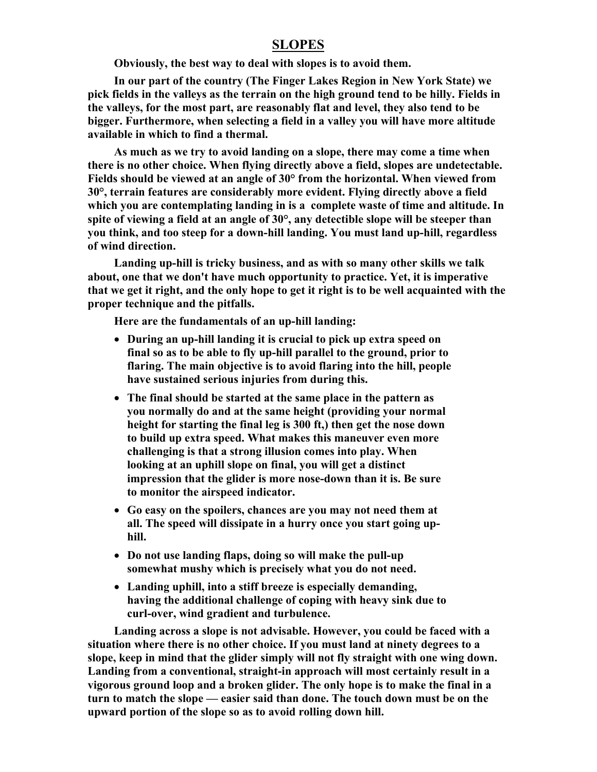#### **SLOPES**

**Obviously, the best way to deal with slopes is to avoid them.** 

**In our part of the country (The Finger Lakes Region in New York State) we pick fields in the valleys as the terrain on the high ground tend to be hilly. Fields in the valleys, for the most part, are reasonably flat and level, they also tend to be bigger. Furthermore, when selecting a field in a valley you will have more altitude available in which to find a thermal.** 

**As much as we try to avoid landing on a slope, there may come a time when there is no other choice. When flying directly above a field, slopes are undetectable. Fields should be viewed at an angle of 30° from the horizontal. When viewed from 30°, terrain features are considerably more evident. Flying directly above a field which you are contemplating landing in is a complete waste of time and altitude. In spite of viewing a field at an angle of 30°, any detectible slope will be steeper than you think, and too steep for a down-hill landing. You must land up-hill, regardless of wind direction.** 

**Landing up-hill is tricky business, and as with so many other skills we talk about, one that we don't have much opportunity to practice. Yet, it is imperative that we get it right, and the only hope to get it right is to be well acquainted with the proper technique and the pitfalls.** 

**Here are the fundamentals of an up-hill landing:** 

- **During an up-hill landing it is crucial to pick up extra speed on final so as to be able to fly up-hill parallel to the ground, prior to flaring. The main objective is to avoid flaring into the hill, people have sustained serious injuries from during this.**
- **The final should be started at the same place in the pattern as you normally do and at the same height (providing your normal height for starting the final leg is 300 ft,) then get the nose down to build up extra speed. What makes this maneuver even more challenging is that a strong illusion comes into play. When looking at an uphill slope on final, you will get a distinct impression that the glider is more nose-down than it is. Be sure to monitor the airspeed indicator.**
- **Go easy on the spoilers, chances are you may not need them at all. The speed will dissipate in a hurry once you start going uphill.**
- **Do not use landing flaps, doing so will make the pull-up somewhat mushy which is precisely what you do not need.**
- **Landing uphill, into a stiff breeze is especially demanding, having the additional challenge of coping with heavy sink due to curl-over, wind gradient and turbulence.**

**Landing across a slope is not advisable. However, you could be faced with a situation where there is no other choice. If you must land at ninety degrees to a slope, keep in mind that the glider simply will not fly straight with one wing down. Landing from a conventional, straight-in approach will most certainly result in a vigorous ground loop and a broken glider. The only hope is to make the final in a turn to match the slope — easier said than done. The touch down must be on the upward portion of the slope so as to avoid rolling down hill.**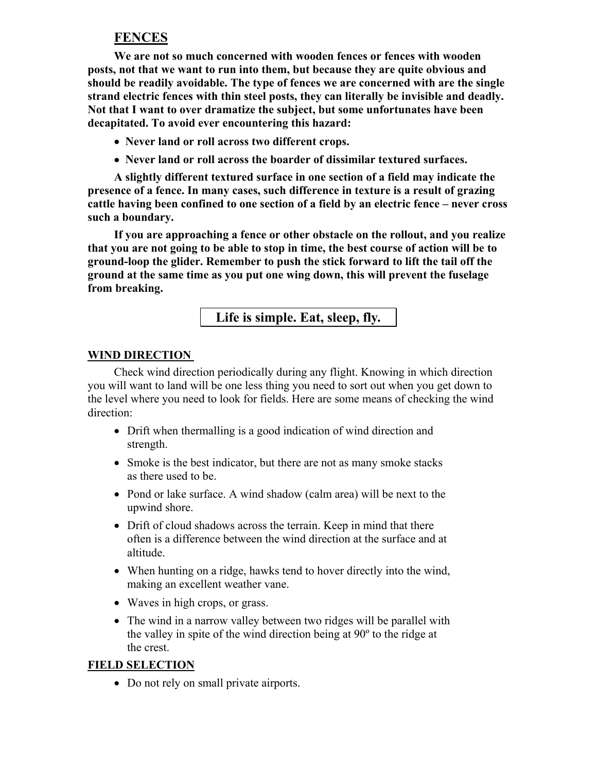#### **FENCES**

**We are not so much concerned with wooden fences or fences with wooden posts, not that we want to run into them, but because they are quite obvious and should be readily avoidable. The type of fences we are concerned with are the single strand electric fences with thin steel posts, they can literally be invisible and deadly. Not that I want to over dramatize the subject, but some unfortunates have been decapitated. To avoid ever encountering this hazard:** 

- **Never land or roll across two different crops.**
- **Never land or roll across the boarder of dissimilar textured surfaces.**

**A slightly different textured surface in one section of a field may indicate the presence of a fence. In many cases, such difference in texture is a result of grazing cattle having been confined to one section of a field by an electric fence – never cross such a boundary.** 

**If you are approaching a fence or other obstacle on the rollout, and you realize that you are not going to be able to stop in time, the best course of action will be to ground-loop the glider. Remember to push the stick forward to lift the tail off the ground at the same time as you put one wing down, this will prevent the fuselage from breaking.** 

**Life is simple. Eat, sleep, fly.** 

#### **WIND DIRECTION**

Check wind direction periodically during any flight. Knowing in which direction you will want to land will be one less thing you need to sort out when you get down to the level where you need to look for fields. Here are some means of checking the wind direction:

- Drift when thermalling is a good indication of wind direction and strength.
- Smoke is the best indicator, but there are not as many smoke stacks as there used to be.
- Pond or lake surface. A wind shadow (calm area) will be next to the upwind shore.
- Drift of cloud shadows across the terrain. Keep in mind that there often is a difference between the wind direction at the surface and at altitude.
- When hunting on a ridge, hawks tend to hover directly into the wind, making an excellent weather vane.
- Waves in high crops, or grass.
- The wind in a narrow valley between two ridges will be parallel with the valley in spite of the wind direction being at 90º to the ridge at the crest.

#### **FIELD SELECTION**

• Do not rely on small private airports.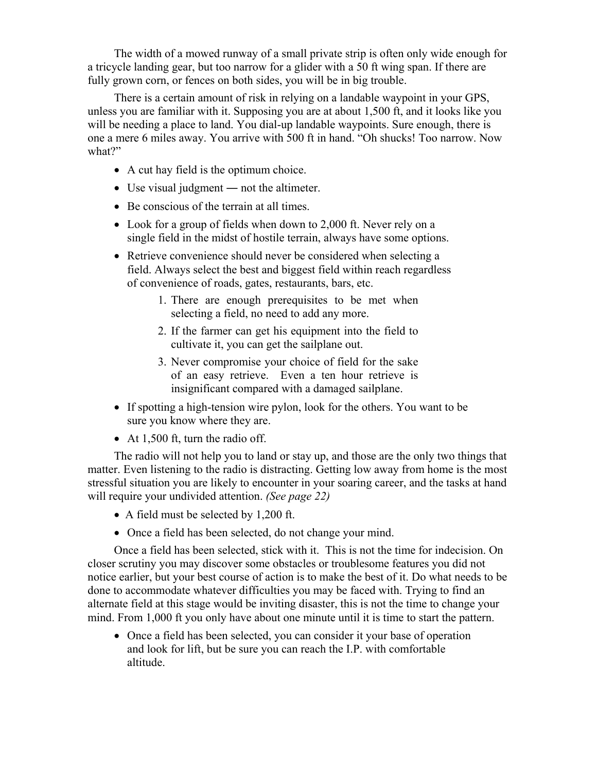The width of a mowed runway of a small private strip is often only wide enough for a tricycle landing gear, but too narrow for a glider with a 50 ft wing span. If there are fully grown corn, or fences on both sides, you will be in big trouble.

There is a certain amount of risk in relying on a landable waypoint in your GPS, unless you are familiar with it. Supposing you are at about 1,500 ft, and it looks like you will be needing a place to land. You dial-up landable waypoints. Sure enough, there is one a mere 6 miles away. You arrive with 500 ft in hand. "Oh shucks! Too narrow. Now what?"

- A cut hay field is the optimum choice.
- Use visual judgment not the altimeter.
- Be conscious of the terrain at all times.
- Look for a group of fields when down to 2,000 ft. Never rely on a single field in the midst of hostile terrain, always have some options.
- Retrieve convenience should never be considered when selecting a field. Always select the best and biggest field within reach regardless of convenience of roads, gates, restaurants, bars, etc.
	- 1. There are enough prerequisites to be met when selecting a field, no need to add any more.
	- 2. If the farmer can get his equipment into the field to cultivate it, you can get the sailplane out.
	- 3. Never compromise your choice of field for the sake of an easy retrieve. Even a ten hour retrieve is insignificant compared with a damaged sailplane.
- If spotting a high-tension wire pylon, look for the others. You want to be sure you know where they are.
- At 1,500 ft, turn the radio off.

The radio will not help you to land or stay up, and those are the only two things that matter. Even listening to the radio is distracting. Getting low away from home is the most stressful situation you are likely to encounter in your soaring career, and the tasks at hand will require your undivided attention. *(See page 22)* 

- A field must be selected by 1,200 ft.
- Once a field has been selected, do not change your mind.

Once a field has been selected, stick with it. This is not the time for indecision. On closer scrutiny you may discover some obstacles or troublesome features you did not notice earlier, but your best course of action is to make the best of it. Do what needs to be done to accommodate whatever difficulties you may be faced with. Trying to find an alternate field at this stage would be inviting disaster, this is not the time to change your mind. From 1,000 ft you only have about one minute until it is time to start the pattern.

• Once a field has been selected, you can consider it your base of operation and look for lift, but be sure you can reach the I.P. with comfortable altitude.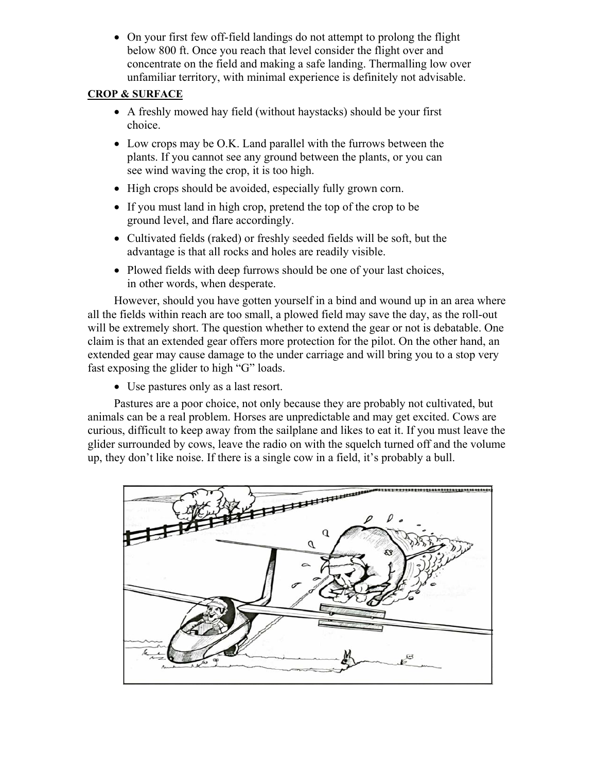• On your first few off-field landings do not attempt to prolong the flight below 800 ft. Once you reach that level consider the flight over and concentrate on the field and making a safe landing. Thermalling low over unfamiliar territory, with minimal experience is definitely not advisable.

#### **CROP & SURFACE**

- A freshly mowed hay field (without haystacks) should be your first choice.
- Low crops may be O.K. Land parallel with the furrows between the plants. If you cannot see any ground between the plants, or you can see wind waving the crop, it is too high.
- High crops should be avoided, especially fully grown corn.
- If you must land in high crop, pretend the top of the crop to be ground level, and flare accordingly.
- Cultivated fields (raked) or freshly seeded fields will be soft, but the advantage is that all rocks and holes are readily visible.
- Plowed fields with deep furrows should be one of your last choices, in other words, when desperate.

However, should you have gotten yourself in a bind and wound up in an area where all the fields within reach are too small, a plowed field may save the day, as the roll-out will be extremely short. The question whether to extend the gear or not is debatable. One claim is that an extended gear offers more protection for the pilot. On the other hand, an extended gear may cause damage to the under carriage and will bring you to a stop very fast exposing the glider to high "G" loads.

• Use pastures only as a last resort.

Pastures are a poor choice, not only because they are probably not cultivated, but animals can be a real problem. Horses are unpredictable and may get excited. Cows are curious, difficult to keep away from the sailplane and likes to eat it. If you must leave the glider surrounded by cows, leave the radio on with the squelch turned off and the volume up, they don't like noise. If there is a single cow in a field, it's probably a bull.

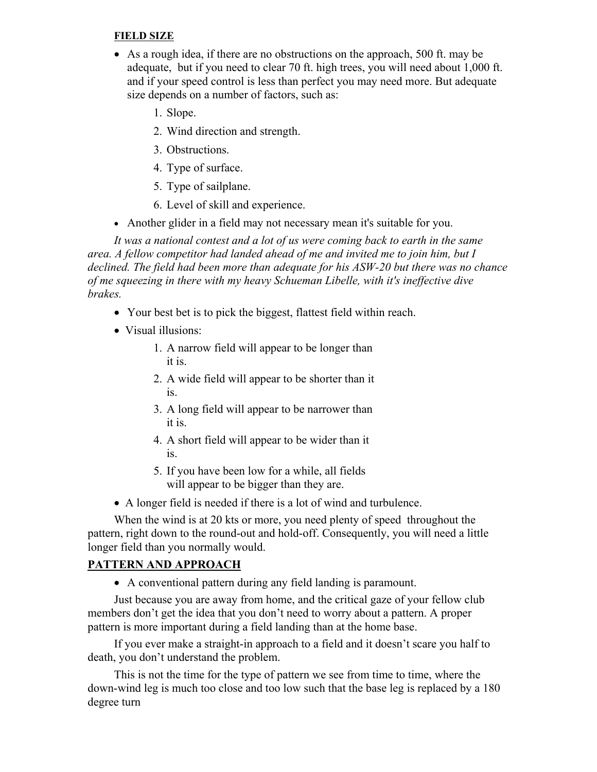#### **FIELD SIZE**

- As a rough idea, if there are no obstructions on the approach, 500 ft. may be adequate, but if you need to clear 70 ft. high trees, you will need about 1,000 ft. and if your speed control is less than perfect you may need more. But adequate size depends on a number of factors, such as:
	- 1. Slope.
	- 2. Wind direction and strength.
	- 3. Obstructions.
	- 4. Type of surface.
	- 5. Type of sailplane.
	- 6. Level of skill and experience.
- Another glider in a field may not necessary mean it's suitable for you.

*It was a national contest and a lot of us were coming back to earth in the same area. A fellow competitor had landed ahead of me and invited me to join him, but I declined. The field had been more than adequate for his ASW-20 but there was no chance of me squeezing in there with my heavy Schueman Libelle, with it's ineffective dive brakes.* 

- Your best bet is to pick the biggest, flattest field within reach.
- Visual illusions:
	- 1. A narrow field will appear to be longer than it is.
	- 2. A wide field will appear to be shorter than it is.
	- 3. A long field will appear to be narrower than it is.
	- 4. A short field will appear to be wider than it is.
	- 5. If you have been low for a while, all fields will appear to be bigger than they are.
- A longer field is needed if there is a lot of wind and turbulence.

When the wind is at 20 kts or more, you need plenty of speed throughout the pattern, right down to the round-out and hold-off. Consequently, you will need a little longer field than you normally would.

#### **PATTERN AND APPROACH**

• A conventional pattern during any field landing is paramount.

Just because you are away from home, and the critical gaze of your fellow club members don't get the idea that you don't need to worry about a pattern. A proper pattern is more important during a field landing than at the home base.

If you ever make a straight-in approach to a field and it doesn't scare you half to death, you don't understand the problem.

This is not the time for the type of pattern we see from time to time, where the down-wind leg is much too close and too low such that the base leg is replaced by a 180 degree turn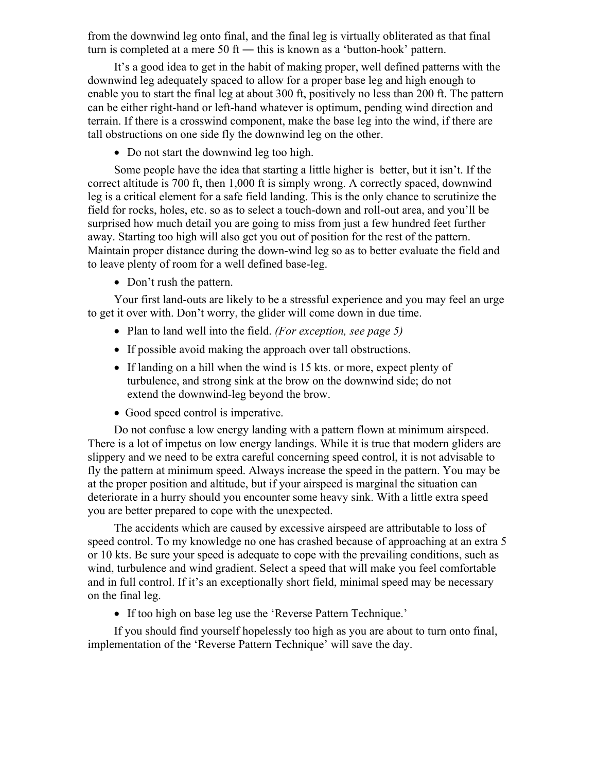from the downwind leg onto final, and the final leg is virtually obliterated as that final turn is completed at a mere 50 ft — this is known as a 'button-hook' pattern.

It's a good idea to get in the habit of making proper, well defined patterns with the downwind leg adequately spaced to allow for a proper base leg and high enough to enable you to start the final leg at about 300 ft, positively no less than 200 ft. The pattern can be either right-hand or left-hand whatever is optimum, pending wind direction and terrain. If there is a crosswind component, make the base leg into the wind, if there are tall obstructions on one side fly the downwind leg on the other.

• Do not start the downwind leg too high.

Some people have the idea that starting a little higher is better, but it isn't. If the correct altitude is 700 ft, then 1,000 ft is simply wrong. A correctly spaced, downwind leg is a critical element for a safe field landing. This is the only chance to scrutinize the field for rocks, holes, etc. so as to select a touch-down and roll-out area, and you'll be surprised how much detail you are going to miss from just a few hundred feet further away. Starting too high will also get you out of position for the rest of the pattern. Maintain proper distance during the down-wind leg so as to better evaluate the field and to leave plenty of room for a well defined base-leg.

• Don't rush the pattern.

Your first land-outs are likely to be a stressful experience and you may feel an urge to get it over with. Don't worry, the glider will come down in due time.

- Plan to land well into the field. *(For exception, see page 5)*
- If possible avoid making the approach over tall obstructions.
- If landing on a hill when the wind is 15 kts. or more, expect plenty of turbulence, and strong sink at the brow on the downwind side; do not extend the downwind-leg beyond the brow.
- Good speed control is imperative.

Do not confuse a low energy landing with a pattern flown at minimum airspeed. There is a lot of impetus on low energy landings. While it is true that modern gliders are slippery and we need to be extra careful concerning speed control, it is not advisable to fly the pattern at minimum speed. Always increase the speed in the pattern. You may be at the proper position and altitude, but if your airspeed is marginal the situation can deteriorate in a hurry should you encounter some heavy sink. With a little extra speed you are better prepared to cope with the unexpected.

The accidents which are caused by excessive airspeed are attributable to loss of speed control. To my knowledge no one has crashed because of approaching at an extra 5 or 10 kts. Be sure your speed is adequate to cope with the prevailing conditions, such as wind, turbulence and wind gradient. Select a speed that will make you feel comfortable and in full control. If it's an exceptionally short field, minimal speed may be necessary on the final leg.

• If too high on base leg use the 'Reverse Pattern Technique.'

If you should find yourself hopelessly too high as you are about to turn onto final, implementation of the 'Reverse Pattern Technique' will save the day.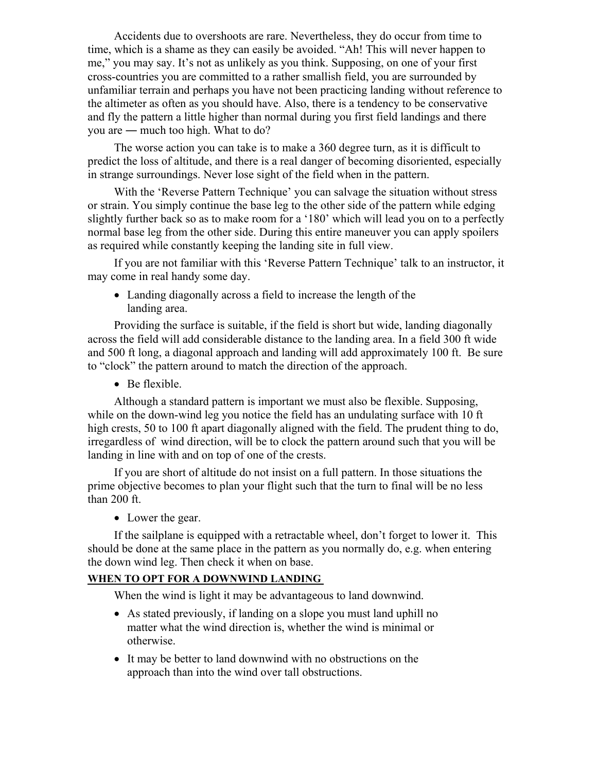Accidents due to overshoots are rare. Nevertheless, they do occur from time to time, which is a shame as they can easily be avoided. "Ah! This will never happen to me," you may say. It's not as unlikely as you think. Supposing, on one of your first cross-countries you are committed to a rather smallish field, you are surrounded by unfamiliar terrain and perhaps you have not been practicing landing without reference to the altimeter as often as you should have. Also, there is a tendency to be conservative and fly the pattern a little higher than normal during you first field landings and there you are ― much too high. What to do?

The worse action you can take is to make a 360 degree turn, as it is difficult to predict the loss of altitude, and there is a real danger of becoming disoriented, especially in strange surroundings. Never lose sight of the field when in the pattern.

With the 'Reverse Pattern Technique' you can salvage the situation without stress or strain. You simply continue the base leg to the other side of the pattern while edging slightly further back so as to make room for a '180' which will lead you on to a perfectly normal base leg from the other side. During this entire maneuver you can apply spoilers as required while constantly keeping the landing site in full view.

If you are not familiar with this 'Reverse Pattern Technique' talk to an instructor, it may come in real handy some day.

• Landing diagonally across a field to increase the length of the landing area.

Providing the surface is suitable, if the field is short but wide, landing diagonally across the field will add considerable distance to the landing area. In a field 300 ft wide and 500 ft long, a diagonal approach and landing will add approximately 100 ft. Be sure to "clock" the pattern around to match the direction of the approach.

• Be flexible.

Although a standard pattern is important we must also be flexible. Supposing, while on the down-wind leg you notice the field has an undulating surface with 10 ft high crests, 50 to 100 ft apart diagonally aligned with the field. The prudent thing to do, irregardless of wind direction, will be to clock the pattern around such that you will be landing in line with and on top of one of the crests.

If you are short of altitude do not insist on a full pattern. In those situations the prime objective becomes to plan your flight such that the turn to final will be no less than 200 ft.

• Lower the gear.

If the sailplane is equipped with a retractable wheel, don't forget to lower it. This should be done at the same place in the pattern as you normally do, e.g. when entering the down wind leg. Then check it when on base.

#### **WHEN TO OPT FOR A DOWNWIND LANDING**

When the wind is light it may be advantageous to land downwind.

- As stated previously, if landing on a slope you must land uphill no matter what the wind direction is, whether the wind is minimal or otherwise.
- It may be better to land downwind with no obstructions on the approach than into the wind over tall obstructions.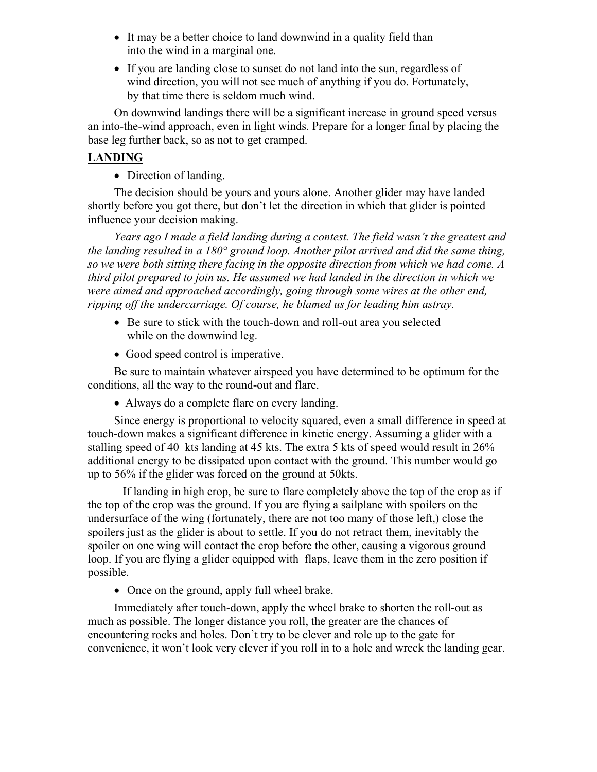- It may be a better choice to land downwind in a quality field than into the wind in a marginal one.
- If you are landing close to sunset do not land into the sun, regardless of wind direction, you will not see much of anything if you do. Fortunately, by that time there is seldom much wind.

On downwind landings there will be a significant increase in ground speed versus an into-the-wind approach, even in light winds. Prepare for a longer final by placing the base leg further back, so as not to get cramped.

#### **LANDING**

• Direction of landing.

The decision should be yours and yours alone. Another glider may have landed shortly before you got there, but don't let the direction in which that glider is pointed influence your decision making.

*Years ago I made a field landing during a contest. The field wasn't the greatest and the landing resulted in a 180° ground loop. Another pilot arrived and did the same thing, so we were both sitting there facing in the opposite direction from which we had come. A third pilot prepared to join us. He assumed we had landed in the direction in which we were aimed and approached accordingly, going through some wires at the other end, ripping off the undercarriage. Of course, he blamed us for leading him astray.* 

- Be sure to stick with the touch-down and roll-out area you selected while on the downwind leg.
- Good speed control is imperative.

Be sure to maintain whatever airspeed you have determined to be optimum for the conditions, all the way to the round-out and flare.

• Always do a complete flare on every landing.

Since energy is proportional to velocity squared, even a small difference in speed at touch-down makes a significant difference in kinetic energy. Assuming a glider with a stalling speed of 40 kts landing at 45 kts. The extra 5 kts of speed would result in 26% additional energy to be dissipated upon contact with the ground. This number would go up to 56% if the glider was forced on the ground at 50kts.

If landing in high crop, be sure to flare completely above the top of the crop as if the top of the crop was the ground. If you are flying a sailplane with spoilers on the undersurface of the wing (fortunately, there are not too many of those left,) close the spoilers just as the glider is about to settle. If you do not retract them, inevitably the spoiler on one wing will contact the crop before the other, causing a vigorous ground loop. If you are flying a glider equipped with flaps, leave them in the zero position if possible.

• Once on the ground, apply full wheel brake.

Immediately after touch-down, apply the wheel brake to shorten the roll-out as much as possible. The longer distance you roll, the greater are the chances of encountering rocks and holes. Don't try to be clever and role up to the gate for convenience, it won't look very clever if you roll in to a hole and wreck the landing gear.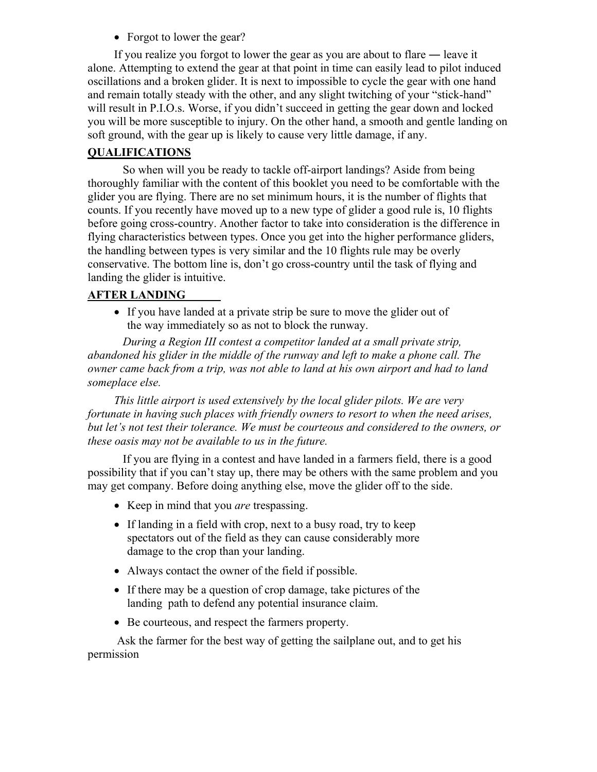• Forgot to lower the gear?

If you realize you forgot to lower the gear as you are about to flare ― leave it alone. Attempting to extend the gear at that point in time can easily lead to pilot induced oscillations and a broken glider. It is next to impossible to cycle the gear with one hand and remain totally steady with the other, and any slight twitching of your "stick-hand" will result in P.I.O.s. Worse, if you didn't succeed in getting the gear down and locked you will be more susceptible to injury. On the other hand, a smooth and gentle landing on soft ground, with the gear up is likely to cause very little damage, if any.

#### **QUALIFICATIONS**

 So when will you be ready to tackle off-airport landings? Aside from being thoroughly familiar with the content of this booklet you need to be comfortable with the glider you are flying. There are no set minimum hours, it is the number of flights that counts. If you recently have moved up to a new type of glider a good rule is, 10 flights before going cross-country. Another factor to take into consideration is the difference in flying characteristics between types. Once you get into the higher performance gliders, the handling between types is very similar and the 10 flights rule may be overly conservative. The bottom line is, don't go cross-country until the task of flying and landing the glider is intuitive.

#### **AFTER LANDING**

• If you have landed at a private strip be sure to move the glider out of the way immediately so as not to block the runway.

*During a Region III contest a competitor landed at a small private strip, abandoned his glider in the middle of the runway and left to make a phone call. The owner came back from a trip, was not able to land at his own airport and had to land someplace else.* 

*This little airport is used extensively by the local glider pilots. We are very fortunate in having such places with friendly owners to resort to when the need arises, but let's not test their tolerance. We must be courteous and considered to the owners, or these oasis may not be available to us in the future.* 

 If you are flying in a contest and have landed in a farmers field, there is a good possibility that if you can't stay up, there may be others with the same problem and you may get company. Before doing anything else, move the glider off to the side.

- Keep in mind that you *are* trespassing.
- If landing in a field with crop, next to a busy road, try to keep spectators out of the field as they can cause considerably more damage to the crop than your landing.
- Always contact the owner of the field if possible.
- If there may be a question of crop damage, take pictures of the landing path to defend any potential insurance claim.
- Be courteous, and respect the farmers property.

 Ask the farmer for the best way of getting the sailplane out, and to get his permission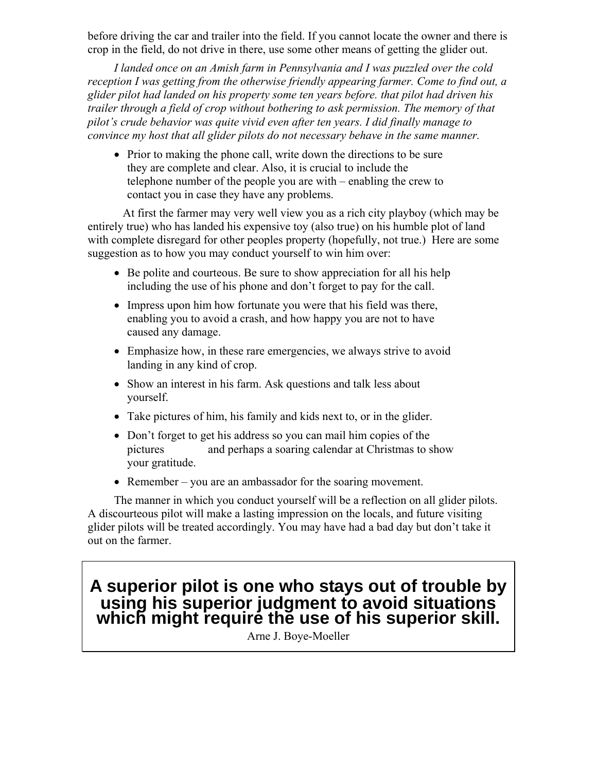before driving the car and trailer into the field. If you cannot locate the owner and there is crop in the field, do not drive in there, use some other means of getting the glider out.

*I landed once on an Amish farm in Pennsylvania and I was puzzled over the cold reception I was getting from the otherwise friendly appearing farmer. Come to find out, a glider pilot had landed on his property some ten years before. that pilot had driven his trailer through a field of crop without bothering to ask permission. The memory of that pilot's crude behavior was quite vivid even after ten years. I did finally manage to convince my host that all glider pilots do not necessary behave in the same manner.* 

• Prior to making the phone call, write down the directions to be sure they are complete and clear. Also, it is crucial to include the telephone number of the people you are with – enabling the crew to contact you in case they have any problems.

At first the farmer may very well view you as a rich city playboy (which may be entirely true) who has landed his expensive toy (also true) on his humble plot of land with complete disregard for other peoples property (hopefully, not true.) Here are some suggestion as to how you may conduct yourself to win him over:

- Be polite and courteous. Be sure to show appreciation for all his help including the use of his phone and don't forget to pay for the call.
- Impress upon him how fortunate you were that his field was there, enabling you to avoid a crash, and how happy you are not to have caused any damage.
- Emphasize how, in these rare emergencies, we always strive to avoid landing in any kind of crop.
- Show an interest in his farm. Ask questions and talk less about yourself.
- Take pictures of him, his family and kids next to, or in the glider.
- Don't forget to get his address so you can mail him copies of the pictures and perhaps a soaring calendar at Christmas to show your gratitude.
- Remember you are an ambassador for the soaring movement.

The manner in which you conduct yourself will be a reflection on all glider pilots. A discourteous pilot will make a lasting impression on the locals, and future visiting glider pilots will be treated accordingly. You may have had a bad day but don't take it out on the farmer.

# **A superior pilot is one who stays out of trouble by using his superior judgment to avoid situations**  which might require the use of his superior skill.

Arne J. Boye-Moeller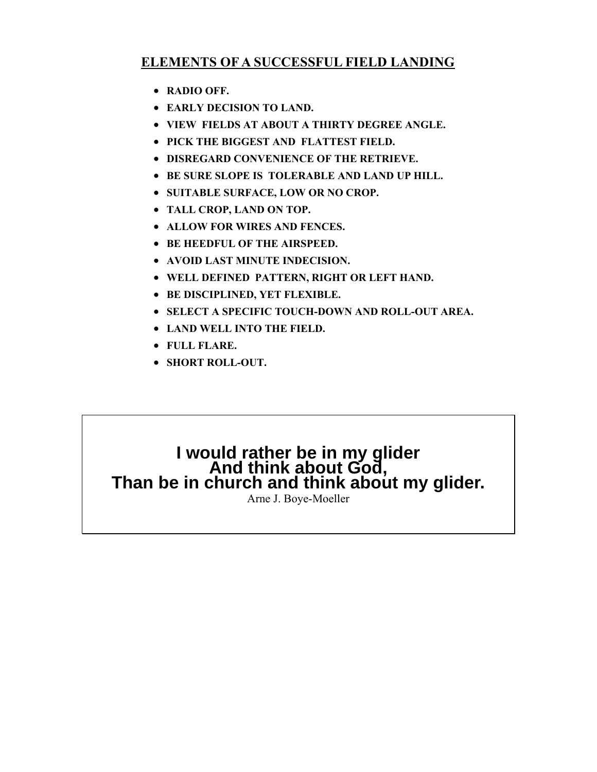# **ELEMENTS OF A SUCCESSFUL FIELD LANDING**

- **RADIO OFF.**
- **EARLY DECISION TO LAND.**
- **VIEW FIELDS AT ABOUT A THIRTY DEGREE ANGLE.**
- **PICK THE BIGGEST AND FLATTEST FIELD.**
- **DISREGARD CONVENIENCE OF THE RETRIEVE.**
- **BE SURE SLOPE IS TOLERABLE AND LAND UP HILL.**
- **SUITABLE SURFACE, LOW OR NO CROP.**
- **TALL CROP, LAND ON TOP.**
- **ALLOW FOR WIRES AND FENCES.**
- **BE HEEDFUL OF THE AIRSPEED.**
- **AVOID LAST MINUTE INDECISION.**
- **WELL DEFINED PATTERN, RIGHT OR LEFT HAND.**
- **BE DISCIPLINED, YET FLEXIBLE.**
- **SELECT A SPECIFIC TOUCH-DOWN AND ROLL-OUT AREA.**
- **LAND WELL INTO THE FIELD.**
- **FULL FLARE.**
- **SHORT ROLL-OUT.**

# I would rather be in my glider<br>And think about God,<br>Than be in church and think about my glider.

Arne J. Boye-Moeller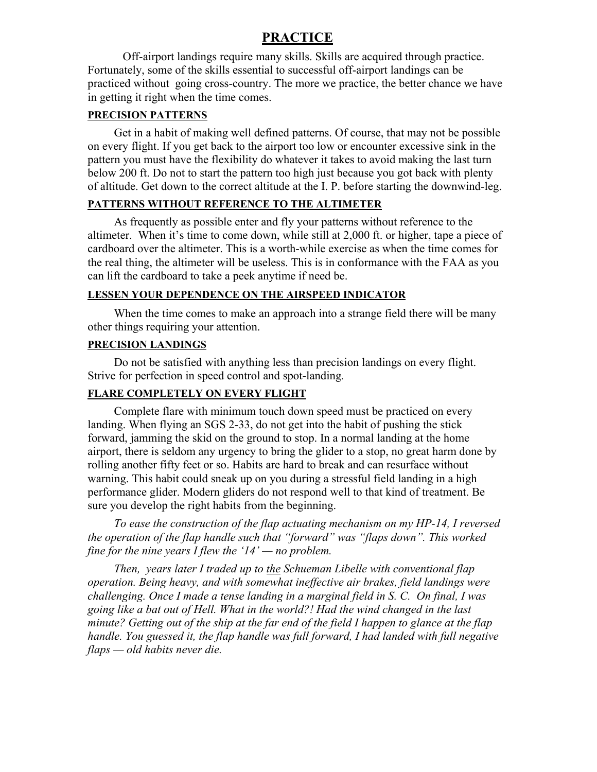#### **PRACTICE**

 Off-airport landings require many skills. Skills are acquired through practice. Fortunately, some of the skills essential to successful off-airport landings can be practiced without going cross-country. The more we practice, the better chance we have in getting it right when the time comes.

#### **PRECISION PATTERNS**

Get in a habit of making well defined patterns. Of course, that may not be possible on every flight. If you get back to the airport too low or encounter excessive sink in the pattern you must have the flexibility do whatever it takes to avoid making the last turn below 200 ft. Do not to start the pattern too high just because you got back with plenty of altitude. Get down to the correct altitude at the I. P. before starting the downwind-leg.

#### **PATTERNS WITHOUT REFERENCE TO THE ALTIMETER**

As frequently as possible enter and fly your patterns without reference to the altimeter. When it's time to come down, while still at 2,000 ft. or higher, tape a piece of cardboard over the altimeter. This is a worth-while exercise as when the time comes for the real thing, the altimeter will be useless. This is in conformance with the FAA as you can lift the cardboard to take a peek anytime if need be.

#### **LESSEN YOUR DEPENDENCE ON THE AIRSPEED INDICATOR**

When the time comes to make an approach into a strange field there will be many other things requiring your attention.

#### **PRECISION LANDINGS**

Do not be satisfied with anything less than precision landings on every flight. Strive for perfection in speed control and spot-landing*.* 

#### **FLARE COMPLETELY ON EVERY FLIGHT**

Complete flare with minimum touch down speed must be practiced on every landing. When flying an SGS 2-33, do not get into the habit of pushing the stick forward, jamming the skid on the ground to stop. In a normal landing at the home airport, there is seldom any urgency to bring the glider to a stop, no great harm done by rolling another fifty feet or so. Habits are hard to break and can resurface without warning. This habit could sneak up on you during a stressful field landing in a high performance glider. Modern gliders do not respond well to that kind of treatment. Be sure you develop the right habits from the beginning.

*To ease the construction of the flap actuating mechanism on my HP-14, I reversed the operation of the flap handle such that "forward" was "flaps down". This worked fine for the nine years I flew the '14' — no problem.* 

*Then, years later I traded up to the Schueman Libelle with conventional flap operation. Being heavy, and with somewhat ineffective air brakes, field landings were challenging. Once I made a tense landing in a marginal field in S. C. On final, I was going like a bat out of Hell. What in the world?! Had the wind changed in the last minute? Getting out of the ship at the far end of the field I happen to glance at the flap handle. You guessed it, the flap handle was full forward, I had landed with full negative flaps — old habits never die.*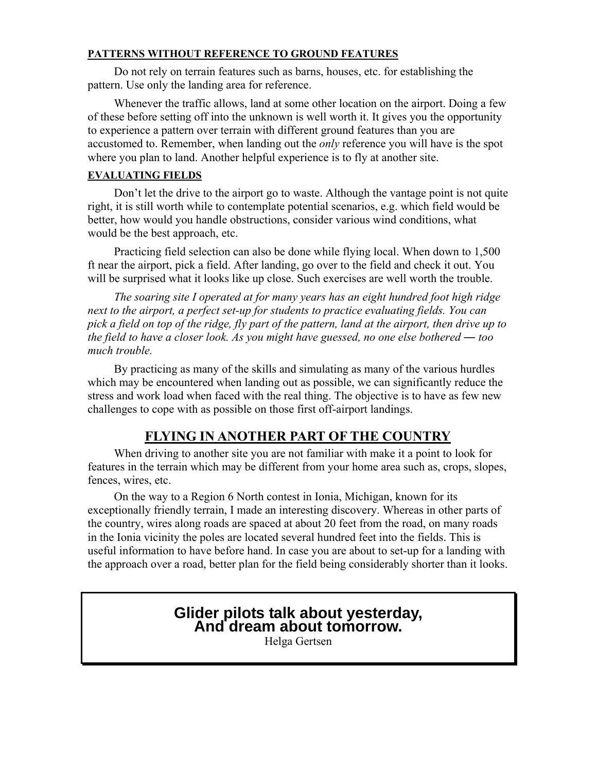#### **PATTERNS WITHOUT REFERENCE TO GROUND FEATURES**

Do not rely on terrain features such as barns, houses, etc. for establishing the pattern. Use only the landing area for reference.

Whenever the traffic allows, land at some other location on the airport. Doing a few of these before setting off into the unknown is well worth it. It gives you the opportunity to experience a pattern over terrain with different ground features than you are accustomed to. Remember, when landing out the *only* reference you will have is the spot where you plan to land. Another helpful experience is to fly at another site.

#### **EVALUATING FIELDS**

Don't let the drive to the airport go to waste. Although the vantage point is not quite right, it is still worth while to contemplate potential scenarios, e.g. which field would be better, how would you handle obstructions, consider various wind conditions, what would be the best approach, etc.

Practicing field selection can also be done while flying local. When down to 1,500 ft near the airport, pick a field. After landing, go over to the field and check it out. You will be surprised what it looks like up close. Such exercises are well worth the trouble.

*The soaring site I operated at for many years has an eight hundred foot high ridge next to the airport, a perfect set-up for students to practice evaluating fields. You can pick a field on top of the ridge, fly part of the pattern, land at the airport, then drive up to the field to have a closer look. As you might have guessed, no one else bothered — too much trouble.* 

By practicing as many of the skills and simulating as many of the various hurdles which may be encountered when landing out as possible, we can significantly reduce the stress and work load when faced with the real thing. The objective is to have as few new challenges to cope with as possible on those first off-airport landings.

# **FLYING IN ANOTHER PART OF THE COUNTRY**

When driving to another site you are not familiar with make it a point to look for features in the terrain which may be different from your home area such as, crops, slopes, fences, wires, etc.

On the way to a Region 6 North contest in Ionia, Michigan, known for its exceptionally friendly terrain, I made an interesting discovery. Whereas in other parts of the country, wires along roads are spaced at about 20 feet from the road, on many roads in the Ionia vicinity the poles are located several hundred feet into the fields. This is useful information to have before hand. In case you are about to set-up for a landing with the approach over a road, better plan for the field being considerably shorter than it looks.

# **Glider pilots talk about yesterday, And dream about tomorrow.**

Helga Gertsen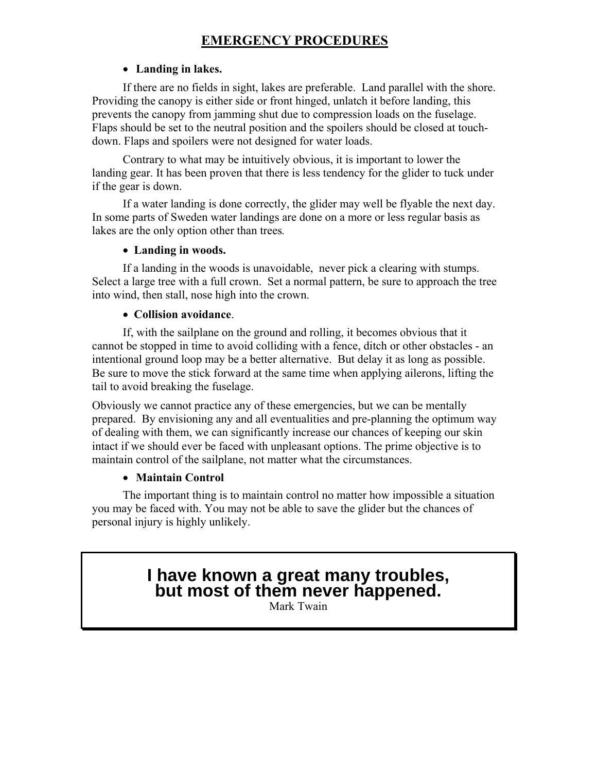# **EMERGENCY PROCEDURES**

#### • **Landing in lakes.**

If there are no fields in sight, lakes are preferable. Land parallel with the shore. Providing the canopy is either side or front hinged, unlatch it before landing, this prevents the canopy from jamming shut due to compression loads on the fuselage. Flaps should be set to the neutral position and the spoilers should be closed at touchdown. Flaps and spoilers were not designed for water loads.

Contrary to what may be intuitively obvious, it is important to lower the landing gear. It has been proven that there is less tendency for the glider to tuck under if the gear is down.

If a water landing is done correctly, the glider may well be flyable the next day. In some parts of Sweden water landings are done on a more or less regular basis as lakes are the only option other than trees*.* 

#### • **Landing in woods.**

If a landing in the woods is unavoidable, never pick a clearing with stumps. Select a large tree with a full crown. Set a normal pattern, be sure to approach the tree into wind, then stall, nose high into the crown.

#### • **Collision avoidance**.

If, with the sailplane on the ground and rolling, it becomes obvious that it cannot be stopped in time to avoid colliding with a fence, ditch or other obstacles - an intentional ground loop may be a better alternative. But delay it as long as possible. Be sure to move the stick forward at the same time when applying ailerons, lifting the tail to avoid breaking the fuselage.

 Obviously we cannot practice any of these emergencies, but we can be mentally prepared. By envisioning any and all eventualities and pre-planning the optimum way of dealing with them, we can significantly increase our chances of keeping our skin intact if we should ever be faced with unpleasant options. The prime objective is to maintain control of the sailplane, not matter what the circumstances.

#### • **Maintain Control**

The important thing is to maintain control no matter how impossible a situation you may be faced with. You may not be able to save the glider but the chances of personal injury is highly unlikely.

# **I have known a great many troubles, but most of them never happened.**

Mark Twain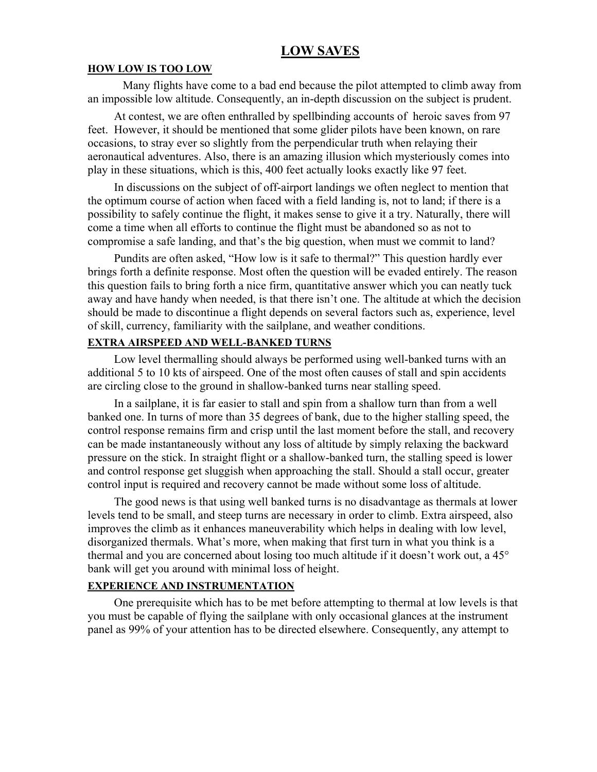#### **LOW SAVES**

#### **HOW LOW IS TOO LOW**

Many flights have come to a bad end because the pilot attempted to climb away from an impossible low altitude. Consequently, an in-depth discussion on the subject is prudent.

At contest, we are often enthralled by spellbinding accounts of heroic saves from 97 feet. However, it should be mentioned that some glider pilots have been known, on rare occasions, to stray ever so slightly from the perpendicular truth when relaying their aeronautical adventures. Also, there is an amazing illusion which mysteriously comes into play in these situations, which is this, 400 feet actually looks exactly like 97 feet.

In discussions on the subject of off-airport landings we often neglect to mention that the optimum course of action when faced with a field landing is, not to land; if there is a possibility to safely continue the flight, it makes sense to give it a try. Naturally, there will come a time when all efforts to continue the flight must be abandoned so as not to compromise a safe landing, and that's the big question, when must we commit to land?

Pundits are often asked, "How low is it safe to thermal?" This question hardly ever brings forth a definite response. Most often the question will be evaded entirely. The reason this question fails to bring forth a nice firm, quantitative answer which you can neatly tuck away and have handy when needed, is that there isn't one. The altitude at which the decision should be made to discontinue a flight depends on several factors such as, experience, level of skill, currency, familiarity with the sailplane, and weather conditions.

#### **EXTRA AIRSPEED AND WELL-BANKED TURNS**

Low level thermalling should always be performed using well-banked turns with an additional 5 to 10 kts of airspeed. One of the most often causes of stall and spin accidents are circling close to the ground in shallow-banked turns near stalling speed.

In a sailplane, it is far easier to stall and spin from a shallow turn than from a well banked one. In turns of more than 35 degrees of bank, due to the higher stalling speed, the control response remains firm and crisp until the last moment before the stall, and recovery can be made instantaneously without any loss of altitude by simply relaxing the backward pressure on the stick. In straight flight or a shallow-banked turn, the stalling speed is lower and control response get sluggish when approaching the stall. Should a stall occur, greater control input is required and recovery cannot be made without some loss of altitude.

The good news is that using well banked turns is no disadvantage as thermals at lower levels tend to be small, and steep turns are necessary in order to climb. Extra airspeed, also improves the climb as it enhances maneuverability which helps in dealing with low level, disorganized thermals. What's more, when making that first turn in what you think is a thermal and you are concerned about losing too much altitude if it doesn't work out, a 45° bank will get you around with minimal loss of height.

#### **EXPERIENCE AND INSTRUMENTATION**

One prerequisite which has to be met before attempting to thermal at low levels is that you must be capable of flying the sailplane with only occasional glances at the instrument panel as 99% of your attention has to be directed elsewhere. Consequently, any attempt to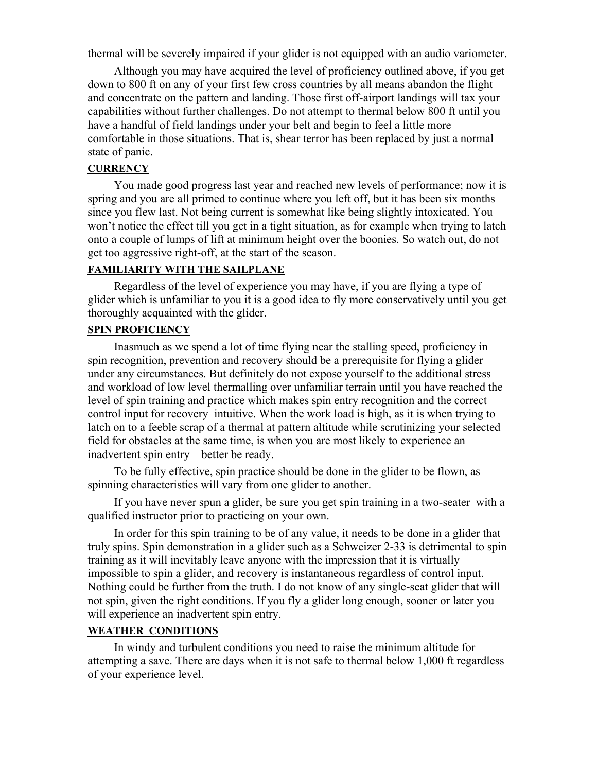thermal will be severely impaired if your glider is not equipped with an audio variometer.

Although you may have acquired the level of proficiency outlined above, if you get down to 800 ft on any of your first few cross countries by all means abandon the flight and concentrate on the pattern and landing. Those first off-airport landings will tax your capabilities without further challenges. Do not attempt to thermal below 800 ft until you have a handful of field landings under your belt and begin to feel a little more comfortable in those situations. That is, shear terror has been replaced by just a normal state of panic.

#### **CURRENCY**

You made good progress last year and reached new levels of performance; now it is spring and you are all primed to continue where you left off, but it has been six months since you flew last. Not being current is somewhat like being slightly intoxicated. You won't notice the effect till you get in a tight situation, as for example when trying to latch onto a couple of lumps of lift at minimum height over the boonies. So watch out, do not get too aggressive right-off, at the start of the season.

#### **FAMILIARITY WITH THE SAILPLANE**

Regardless of the level of experience you may have, if you are flying a type of glider which is unfamiliar to you it is a good idea to fly more conservatively until you get thoroughly acquainted with the glider.

#### **SPIN PROFICIENCY**

Inasmuch as we spend a lot of time flying near the stalling speed, proficiency in spin recognition, prevention and recovery should be a prerequisite for flying a glider under any circumstances. But definitely do not expose yourself to the additional stress and workload of low level thermalling over unfamiliar terrain until you have reached the level of spin training and practice which makes spin entry recognition and the correct control input for recovery intuitive. When the work load is high, as it is when trying to latch on to a feeble scrap of a thermal at pattern altitude while scrutinizing your selected field for obstacles at the same time, is when you are most likely to experience an inadvertent spin entry – better be ready.

To be fully effective, spin practice should be done in the glider to be flown, as spinning characteristics will vary from one glider to another.

If you have never spun a glider, be sure you get spin training in a two-seater with a qualified instructor prior to practicing on your own.

In order for this spin training to be of any value, it needs to be done in a glider that truly spins. Spin demonstration in a glider such as a Schweizer 2-33 is detrimental to spin training as it will inevitably leave anyone with the impression that it is virtually impossible to spin a glider, and recovery is instantaneous regardless of control input. Nothing could be further from the truth. I do not know of any single-seat glider that will not spin, given the right conditions. If you fly a glider long enough, sooner or later you will experience an inadvertent spin entry.

#### **WEATHER CONDITIONS**

In windy and turbulent conditions you need to raise the minimum altitude for attempting a save. There are days when it is not safe to thermal below 1,000 ft regardless of your experience level.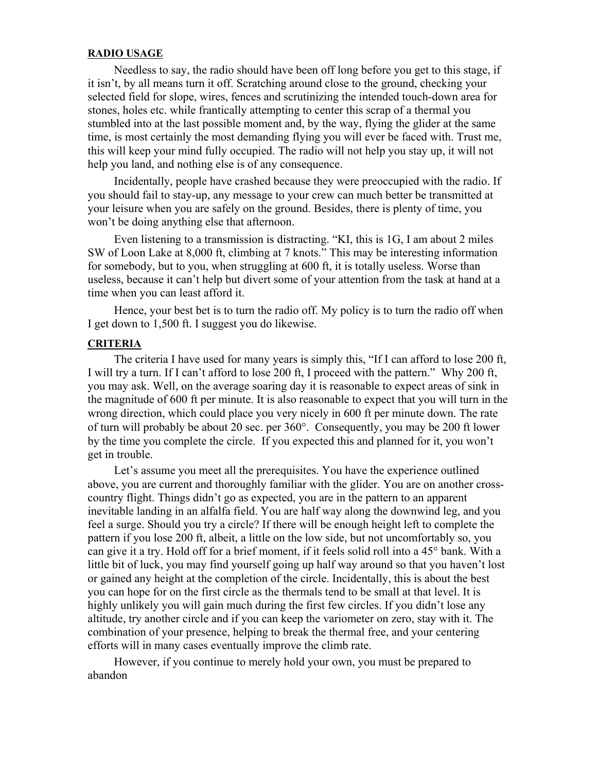#### **RADIO USAGE**

Needless to say, the radio should have been off long before you get to this stage, if it isn't, by all means turn it off. Scratching around close to the ground, checking your selected field for slope, wires, fences and scrutinizing the intended touch-down area for stones, holes etc. while frantically attempting to center this scrap of a thermal you stumbled into at the last possible moment and, by the way, flying the glider at the same time, is most certainly the most demanding flying you will ever be faced with. Trust me, this will keep your mind fully occupied. The radio will not help you stay up, it will not help you land, and nothing else is of any consequence.

Incidentally, people have crashed because they were preoccupied with the radio. If you should fail to stay-up, any message to your crew can much better be transmitted at your leisure when you are safely on the ground. Besides, there is plenty of time, you won't be doing anything else that afternoon.

Even listening to a transmission is distracting. "KI, this is 1G, I am about 2 miles SW of Loon Lake at 8,000 ft, climbing at 7 knots." This may be interesting information for somebody, but to you, when struggling at 600 ft, it is totally useless. Worse than useless, because it can't help but divert some of your attention from the task at hand at a time when you can least afford it.

Hence, your best bet is to turn the radio off. My policy is to turn the radio off when I get down to 1,500 ft. I suggest you do likewise.

#### **CRITERIA**

The criteria I have used for many years is simply this, "If I can afford to lose 200 ft, I will try a turn. If I can't afford to lose 200 ft, I proceed with the pattern." Why 200 ft, you may ask. Well, on the average soaring day it is reasonable to expect areas of sink in the magnitude of 600 ft per minute. It is also reasonable to expect that you will turn in the wrong direction, which could place you very nicely in 600 ft per minute down. The rate of turn will probably be about 20 sec. per 360°. Consequently, you may be 200 ft lower by the time you complete the circle. If you expected this and planned for it, you won't get in trouble.

Let's assume you meet all the prerequisites. You have the experience outlined above, you are current and thoroughly familiar with the glider. You are on another crosscountry flight. Things didn't go as expected, you are in the pattern to an apparent inevitable landing in an alfalfa field. You are half way along the downwind leg, and you feel a surge. Should you try a circle? If there will be enough height left to complete the pattern if you lose 200 ft, albeit, a little on the low side, but not uncomfortably so, you can give it a try. Hold off for a brief moment, if it feels solid roll into a 45° bank. With a little bit of luck, you may find yourself going up half way around so that you haven't lost or gained any height at the completion of the circle. Incidentally, this is about the best you can hope for on the first circle as the thermals tend to be small at that level. It is highly unlikely you will gain much during the first few circles. If you didn't lose any altitude, try another circle and if you can keep the variometer on zero, stay with it. The combination of your presence, helping to break the thermal free, and your centering efforts will in many cases eventually improve the climb rate.

However, if you continue to merely hold your own, you must be prepared to abandon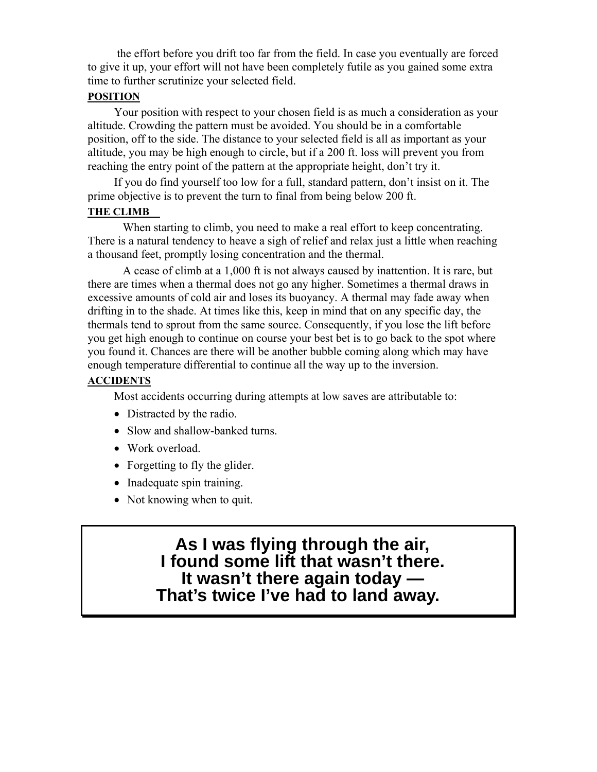the effort before you drift too far from the field. In case you eventually are forced to give it up, your effort will not have been completely futile as you gained some extra time to further scrutinize your selected field.

#### **POSITION**

Your position with respect to your chosen field is as much a consideration as your altitude. Crowding the pattern must be avoided. You should be in a comfortable position, off to the side. The distance to your selected field is all as important as your altitude, you may be high enough to circle, but if a 200 ft. loss will prevent you from reaching the entry point of the pattern at the appropriate height, don't try it.

If you do find yourself too low for a full, standard pattern, don't insist on it. The prime objective is to prevent the turn to final from being below 200 ft.

#### **THE CLIMB**

When starting to climb, you need to make a real effort to keep concentrating. There is a natural tendency to heave a sigh of relief and relax just a little when reaching a thousand feet, promptly losing concentration and the thermal.

 A cease of climb at a 1,000 ft is not always caused by inattention. It is rare, but there are times when a thermal does not go any higher. Sometimes a thermal draws in excessive amounts of cold air and loses its buoyancy. A thermal may fade away when drifting in to the shade. At times like this, keep in mind that on any specific day, the thermals tend to sprout from the same source. Consequently, if you lose the lift before you get high enough to continue on course your best bet is to go back to the spot where you found it. Chances are there will be another bubble coming along which may have enough temperature differential to continue all the way up to the inversion.

#### **ACCIDENTS**

Most accidents occurring during attempts at low saves are attributable to:

- Distracted by the radio.
- Slow and shallow-banked turns.
- Work overload.
- Forgetting to fly the glider.
- Inadequate spin training.
- Not knowing when to quit.

 **As I was flying through the air, I found some lift that wasn't there. It wasn't there again today — That's twice I've had to land away.**